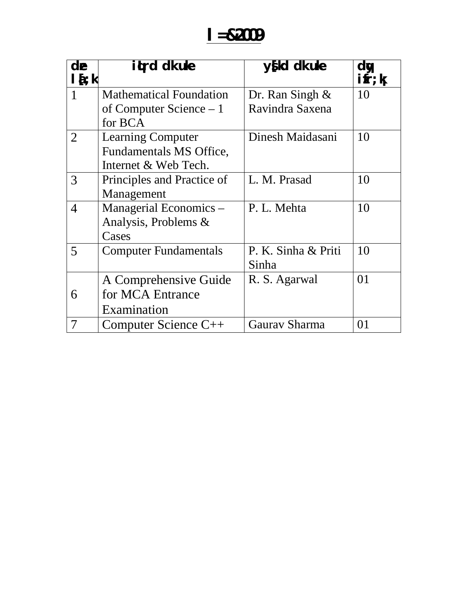# **l=&2009**

| de<br>$l\{i\}$ | itrd dk uke                    | y{kd dk uke         | dy<br>$\mathbf{ifr};\mathbf{k}$ |
|----------------|--------------------------------|---------------------|---------------------------------|
| 1              | <b>Mathematical Foundation</b> | Dr. Ran Singh $\&$  | 10                              |
|                | of Computer Science $-1$       | Ravindra Saxena     |                                 |
|                | for BCA                        |                     |                                 |
| $\overline{2}$ | <b>Learning Computer</b>       | Dinesh Maidasani    | 10                              |
|                | Fundamentals MS Office,        |                     |                                 |
|                | Internet & Web Tech.           |                     |                                 |
| 3              | Principles and Practice of     | L. M. Prasad        | 10                              |
|                | Management                     |                     |                                 |
| $\overline{4}$ | Managerial Economics –         | P. L. Mehta         | 10                              |
|                | Analysis, Problems &           |                     |                                 |
|                | Cases                          |                     |                                 |
| 5              | <b>Computer Fundamentals</b>   | P. K. Sinha & Priti | 10                              |
|                |                                | Sinha               |                                 |
|                | A Comprehensive Guide          | R. S. Agarwal       | 01                              |
| 6              | for MCA Entrance               |                     |                                 |
|                | Examination                    |                     |                                 |
| 7              | Computer Science C++           | Gaurav Sharma       | 01                              |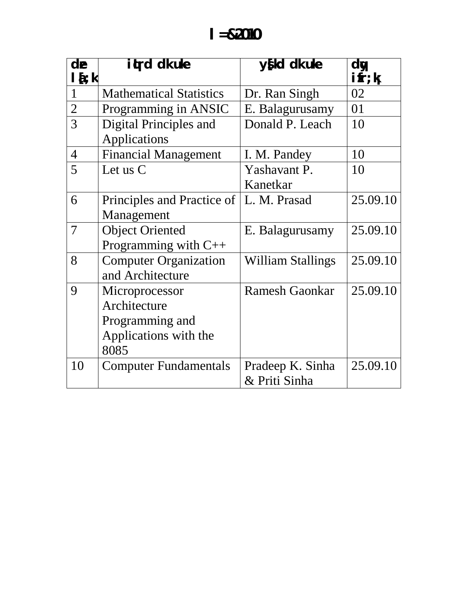| de             | itrd dk uke                    | y{kd dk uke                       | dy          |
|----------------|--------------------------------|-----------------------------------|-------------|
| $l\{i\}$       |                                |                                   | $i$ fr; $k$ |
| $\mathbf{1}$   | <b>Mathematical Statistics</b> | Dr. Ran Singh                     | 02          |
| $\overline{2}$ | Programming in ANSIC           | E. Balagurusamy                   | 01          |
| 3              | Digital Principles and         | Donald P. Leach                   | 10          |
|                | <b>Applications</b>            |                                   |             |
| $\overline{4}$ | <b>Financial Management</b>    | I. M. Pandey                      | 10          |
| 5              | Let us $C$                     | Yashavant P.                      | 10          |
|                |                                | Kanetkar                          |             |
| 6              | Principles and Practice of     | L. M. Prasad                      | 25.09.10    |
|                | Management                     |                                   |             |
| 7              | <b>Object Oriented</b>         | E. Balagurusamy                   | 25.09.10    |
|                | Programming with $C++$         |                                   |             |
| 8              | <b>Computer Organization</b>   | <b>William Stallings</b>          | 25.09.10    |
|                | and Architecture               |                                   |             |
| 9              | Microprocessor                 | <b>Ramesh Gaonkar</b>             | 25.09.10    |
|                | Architecture                   |                                   |             |
|                | Programming and                |                                   |             |
|                | Applications with the          |                                   |             |
|                | 8085                           |                                   |             |
| 10             | <b>Computer Fundamentals</b>   | Pradeep K. Sinha<br>& Priti Sinha | 25.09.10    |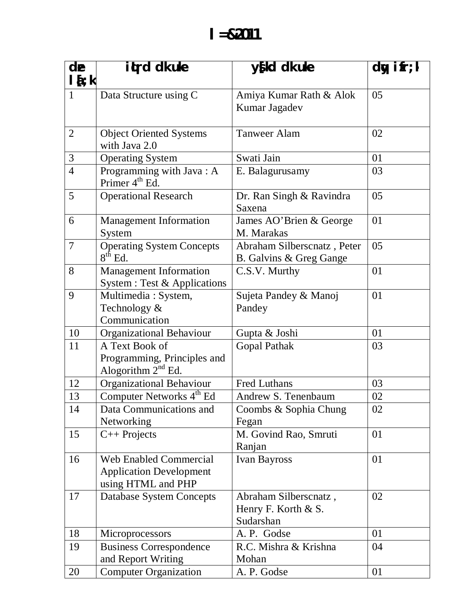| de             | it rd dk uke                         | $y$ [kd dk uke                 | $\overline{dy}$ ifr;k |
|----------------|--------------------------------------|--------------------------------|-----------------------|
| $l\{t:k$       |                                      |                                |                       |
| $\mathbf{1}$   | Data Structure using C               | Amiya Kumar Rath & Alok        | 05                    |
|                |                                      | Kumar Jagadev                  |                       |
|                |                                      |                                |                       |
| $\overline{2}$ | <b>Object Oriented Systems</b>       | <b>Tanweer Alam</b>            | 02                    |
|                | with Java 2.0                        |                                |                       |
| 3              | <b>Operating System</b>              | Swati Jain                     | 01                    |
| $\overline{4}$ | Programming with Java: A             | E. Balagurusamy                | 03                    |
|                | Primer 4 <sup>th</sup> Ed.           |                                |                       |
| $\overline{5}$ | <b>Operational Research</b>          | Dr. Ran Singh & Ravindra       | 05                    |
|                |                                      | Saxena                         |                       |
| 6              | <b>Management Information</b>        | James AO'Brien & George        | 01                    |
|                | System                               | M. Marakas                     |                       |
| $\overline{7}$ | <b>Operating System Concepts</b>     | Abraham Silberscnatz, Peter    | 05                    |
|                | $8th$ Ed.                            | B. Galvins & Greg Gange        |                       |
| 8              | <b>Management Information</b>        | C.S.V. Murthy                  | 01                    |
|                | System : Test & Applications         |                                |                       |
| 9              | Multimedia: System,                  | Sujeta Pandey & Manoj          | 01                    |
|                | Technology &                         | Pandey                         |                       |
|                | Communication                        |                                |                       |
| 10             | Organizational Behaviour             | Gupta & Joshi                  | 01                    |
| 11             | A Text Book of                       | <b>Gopal Pathak</b>            | 03                    |
|                | Programming, Principles and          |                                |                       |
| 12             | Alogorithm $2nd$ Ed.                 | <b>Fred Luthans</b>            | 03                    |
|                | Organizational Behaviour             |                                |                       |
| 13             | Computer Networks 4 <sup>th</sup> Ed | Andrew S. Tenenbaum            | 02                    |
| 14             | Data Communications and              | Coombs & Sophia Chung          | 02                    |
| 15             | Networking                           | Fegan<br>M. Govind Rao, Smruti | 01                    |
|                | $C++$ Projects                       | Ranjan                         |                       |
| 16             | <b>Web Enabled Commercial</b>        | Ivan Bayross                   | 01                    |
|                | <b>Application Development</b>       |                                |                       |
|                | using HTML and PHP                   |                                |                       |
| 17             | <b>Database System Concepts</b>      | Abraham Silberscnatz,          | 02                    |
|                |                                      | Henry F. Korth & S.            |                       |
|                |                                      | Sudarshan                      |                       |
| 18             | Microprocessors                      | A. P. Godse                    | 01                    |
| 19             | <b>Business Correspondence</b>       | R.C. Mishra & Krishna          | 04                    |
|                | and Report Writing                   | Mohan                          |                       |
| 20             | <b>Computer Organization</b>         | A. P. Godse                    | 01                    |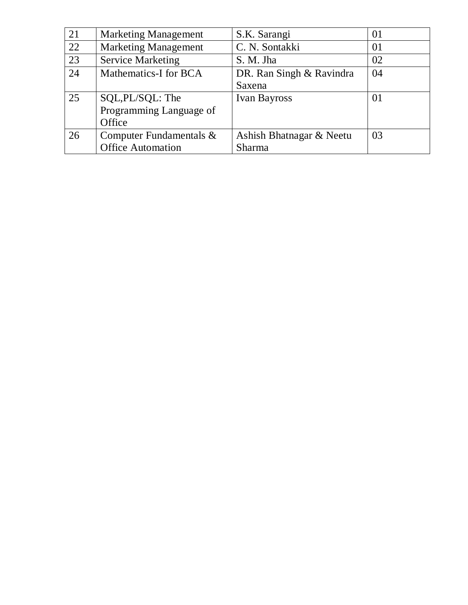| 21 | <b>Marketing Management</b> | S.K. Sarangi             | 01 |
|----|-----------------------------|--------------------------|----|
| 22 | <b>Marketing Management</b> | C. N. Sontakki           | 01 |
| 23 | <b>Service Marketing</b>    | S. M. Jha                | 02 |
| 24 | Mathematics-I for BCA       | DR. Ran Singh & Ravindra | 04 |
|    |                             | Saxena                   |    |
| 25 | SQL, PL/SQL: The            | <b>Ivan Bayross</b>      | 01 |
|    | Programming Language of     |                          |    |
|    | Office                      |                          |    |
| 26 | Computer Fundamentals &     | Ashish Bhatnagar & Neetu | 03 |
|    | <b>Office Automation</b>    | Sharma                   |    |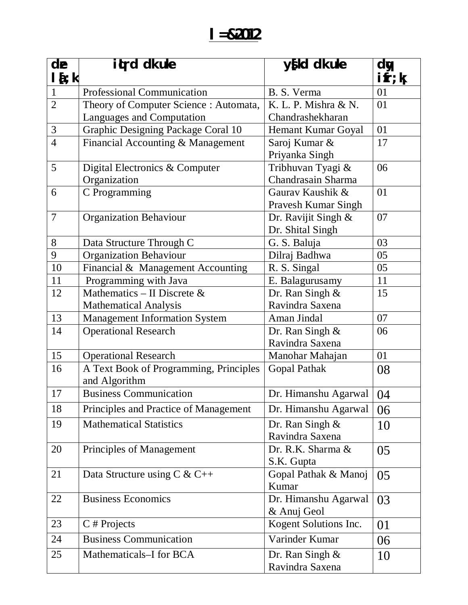#### **l=&2012**

| de             | it rd dk uke                           | $y$ [kd dk uke             | dy                        |
|----------------|----------------------------------------|----------------------------|---------------------------|
| $l\{t:k$       |                                        |                            | $\mathbf{ifr};\mathbf{k}$ |
| $\mathbf{1}$   | Professional Communication             | B. S. Verma                | 01                        |
| $\overline{2}$ | Theory of Computer Science: Automata,  | K. L. P. Mishra & N.       | 01                        |
|                | Languages and Computation              | Chandrashekharan           |                           |
| 3              | Graphic Designing Package Coral 10     | Hemant Kumar Goyal         | 01                        |
| $\overline{4}$ | Financial Accounting & Management      | Saroj Kumar &              | 17                        |
|                |                                        | Priyanka Singh             |                           |
| 5              | Digital Electronics & Computer         | Tribhuvan Tyagi &          | 06                        |
|                | Organization                           | Chandrasain Sharma         |                           |
| 6              | C Programming                          | Gauray Kaushik &           | 01                        |
|                |                                        | <b>Pravesh Kumar Singh</b> |                           |
| $\overline{7}$ | Organization Behaviour                 | Dr. Ravijit Singh &        | 07                        |
|                |                                        | Dr. Shital Singh           |                           |
| 8              | Data Structure Through C               | G. S. Baluja               | 03                        |
| 9              | <b>Organization Behaviour</b>          | Dilraj Badhwa              | 05                        |
| 10             | Financial & Management Accounting      | R. S. Singal               | 05                        |
| 11             | Programming with Java                  | E. Balagurusamy            | 11                        |
| 12             | Mathematics – II Discrete $\&$         | Dr. Ran Singh &            | 15                        |
|                | <b>Mathematical Analysis</b>           | Ravindra Saxena            |                           |
| 13             | <b>Management Information System</b>   | Aman Jindal                | 07                        |
| 14             | <b>Operational Research</b>            | Dr. Ran Singh &            | 06                        |
|                |                                        | Ravindra Saxena            |                           |
| 15             | <b>Operational Research</b>            | Manohar Mahajan            | 01                        |
| 16             | A Text Book of Programming, Principles | <b>Gopal Pathak</b>        | 08                        |
|                | and Algorithm                          |                            |                           |
| 17             | <b>Business Communication</b>          | Dr. Himanshu Agarwal       | 04                        |
| 18             | Principles and Practice of Management  | Dr. Himanshu Agarwal       | 06                        |
| 19             | <b>Mathematical Statistics</b>         | Dr. Ran Singh $\&$         | 10                        |
|                |                                        | Ravindra Saxena            |                           |
| 20             | Principles of Management               | Dr. R.K. Sharma &          | 05                        |
|                |                                        | S.K. Gupta                 |                           |
| 21             | Data Structure using $C & C++$         | Gopal Pathak & Manoj       | 05                        |
|                |                                        | Kumar                      |                           |
| 22             | <b>Business Economics</b>              | Dr. Himanshu Agarwal       | 03                        |
|                |                                        | & Anuj Geol                |                           |
| 23             | $C \# Projects$                        | Kogent Solutions Inc.      | 01                        |
| 24             | <b>Business Communication</b>          | Varinder Kumar             | 06                        |
| 25             | Mathematicals-I for BCA                | Dr. Ran Singh $\&$         | 10                        |
|                |                                        | Ravindra Saxena            |                           |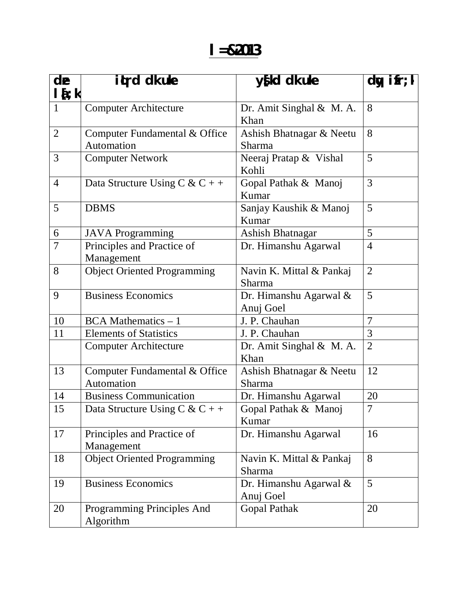#### **l=&2013**

| de<br>$l\sum k$ | iturd dk uke                                | $y$ [kd dk uke                            | dy ifr; $\overline{k}$ |
|-----------------|---------------------------------------------|-------------------------------------------|------------------------|
| $\mathbf{1}$    | <b>Computer Architecture</b>                | Dr. Amit Singhal & M. A.<br>Khan          | 8                      |
| $\overline{2}$  | Computer Fundamental & Office<br>Automation | Ashish Bhatnagar & Neetu<br><b>Sharma</b> | 8                      |
| 3               | <b>Computer Network</b>                     | Neeraj Pratap & Vishal<br>Kohli           | 5                      |
| $\overline{4}$  | Data Structure Using C & C + +              | Gopal Pathak & Manoj<br>Kumar             | 3                      |
| 5               | <b>DBMS</b>                                 | Sanjay Kaushik & Manoj<br>Kumar           | 5                      |
| 6               | <b>JAVA</b> Programming                     | <b>Ashish Bhatnagar</b>                   | 5                      |
| 7               | Principles and Practice of<br>Management    | Dr. Himanshu Agarwal                      | $\overline{4}$         |
| 8               | <b>Object Oriented Programming</b>          | Navin K. Mittal & Pankaj<br>Sharma        | $\overline{2}$         |
| 9               | <b>Business Economics</b>                   | Dr. Himanshu Agarwal &<br>Anuj Goel       | 5                      |
| 10              | $BCA Mathematics - 1$                       | J. P. Chauhan                             | 7                      |
| 11              | <b>Elements of Statistics</b>               | J. P. Chauhan                             | 3                      |
|                 | <b>Computer Architecture</b>                | Dr. Amit Singhal & M. A.<br>Khan          | $\overline{2}$         |
| 13              | Computer Fundamental & Office<br>Automation | Ashish Bhatnagar & Neetu<br>Sharma        | 12                     |
| 14              | <b>Business Communication</b>               | Dr. Himanshu Agarwal                      | 20                     |
| 15              | Data Structure Using C & C + +              | Gopal Pathak & Manoj<br>Kumar             | $\overline{7}$         |
| 17              | Principles and Practice of<br>Management    | Dr. Himanshu Agarwal<br>16                |                        |
| 18              | <b>Object Oriented Programming</b>          | Navin K. Mittal & Pankaj<br>Sharma        | 8                      |
| 19              | <b>Business Economics</b>                   | 5<br>Dr. Himanshu Agarwal &<br>Anuj Goel  |                        |
| 20              | Programming Principles And<br>Algorithm     | 20<br>Gopal Pathak                        |                        |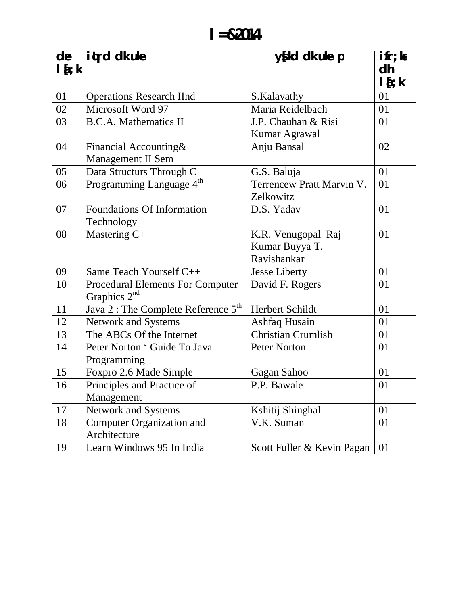| de<br>$I_{i}$ | itrd dk uke                                     | y{kd dk uke p              | $\mathbf{ifr};\mathbf{k}$<br>dh |
|---------------|-------------------------------------------------|----------------------------|---------------------------------|
|               |                                                 |                            | $l$ { ; $k$                     |
| 01            | <b>Operations Research IInd</b>                 | S.Kalavathy                | 01                              |
| 02            | Microsoft Word 97                               | Maria Reidelbach           | 01                              |
| 03            | <b>B.C.A. Mathematics II</b>                    | J.P. Chauhan & Risi        | 01                              |
|               |                                                 | Kumar Agrawal              |                                 |
| 04            | Financial Accounting&                           | Anju Bansal                | 02                              |
|               | <b>Management II Sem</b>                        |                            |                                 |
| 05            | Data Structurs Through C                        | G.S. Baluja                | 01                              |
| 06            | Programming Language 4 <sup>th</sup>            | Terrencew Pratt Marvin V.  | 01                              |
|               |                                                 | Zelkowitz                  |                                 |
| 07            | Foundations Of Information                      | D.S. Yadav                 | 01                              |
|               | Technology                                      |                            |                                 |
| 08            | Mastering C++                                   | K.R. Venugopal Raj         | 01                              |
|               |                                                 | Kumar Buyya T.             |                                 |
|               |                                                 | Ravishankar                |                                 |
| 09            | Same Teach Yourself C++                         | Jesse Liberty              | 01                              |
| 10            | <b>Procedural Elements For Computer</b>         | David F. Rogers            | 01                              |
|               | Graphics $2nd$                                  |                            |                                 |
| 11            | Java 2 : The Complete Reference 5 <sup>th</sup> | Herbert Schildt            | 01                              |
| 12            | <b>Network and Systems</b>                      | Ashfaq Husain              | 01                              |
| 13            | The ABCs Of the Internet                        | <b>Christian Crumlish</b>  | 01                              |
| 14            | Peter Norton ' Guide To Java                    | <b>Peter Norton</b>        | 01                              |
|               | Programming                                     |                            |                                 |
| 15            | Foxpro 2.6 Made Simple                          | Gagan Sahoo                | 01                              |
| 16            | Principles and Practice of                      | P.P. Bawale                | 01                              |
|               | Management                                      |                            |                                 |
| 17            | Network and Systems                             | Kshitij Shinghal           | 01                              |
| 18            | Computer Organization and                       | V.K. Suman                 | 01                              |
|               | Architecture                                    |                            |                                 |
| 19            | Learn Windows 95 In India                       | Scott Fuller & Kevin Pagan | 01                              |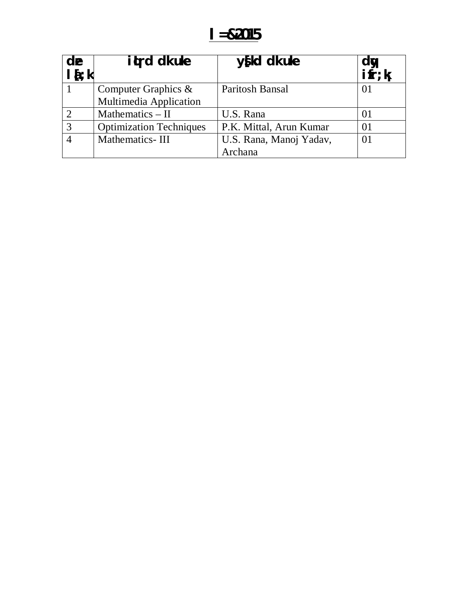#### $I = 82015$

| de<br>$I_{i}$ | it rd dk uke                                     | $y$ [kd dk uke          | dy<br>$i$ fr; $k$ |
|---------------|--------------------------------------------------|-------------------------|-------------------|
|               | Computer Graphics $\&$<br>Multimedia Application | Paritosh Bansal         | 01                |
|               | Mathematics $-$ II                               | U.S. Rana               | $_{01}$           |
| 3             | <b>Optimization Techniques</b>                   | P.K. Mittal, Arun Kumar | $\Omega$          |
|               | Mathematics-III                                  | U.S. Rana, Manoj Yadav, | $\Omega$          |
|               |                                                  | Archana                 |                   |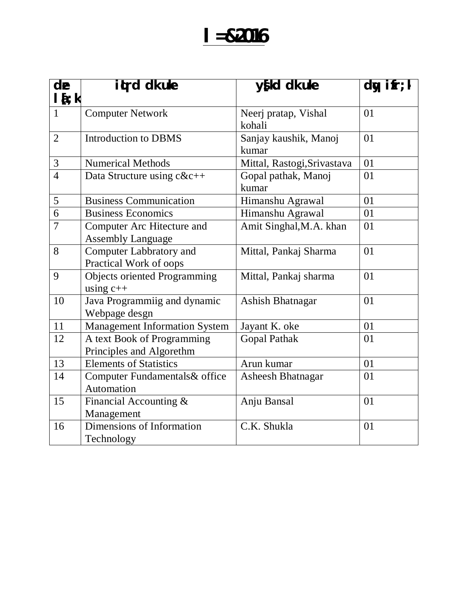## $I = 82016$

| de                        | itrd dk uke                                            | y{kd dk uke                    | $dy$ ifr; $k$ |
|---------------------------|--------------------------------------------------------|--------------------------------|---------------|
| $l\{t:k}$<br>$\mathbf{1}$ | <b>Computer Network</b>                                | Neerj pratap, Vishal<br>kohali | 01            |
| $\overline{2}$            | <b>Introduction to DBMS</b>                            | Sanjay kaushik, Manoj<br>kumar | 01            |
| 3                         | <b>Numerical Methods</b>                               | Mittal, Rastogi, Srivastava    | 01            |
| $\overline{4}$            | Data Structure using c&c++                             | Gopal pathak, Manoj<br>kumar   | 01            |
| 5                         | <b>Business Communication</b>                          | Himanshu Agrawal               | 01            |
| 6                         | <b>Business Economics</b>                              | Himanshu Agrawal               | 01            |
| $\overline{7}$            | Computer Arc Hitecture and<br><b>Assembly Language</b> | Amit Singhal, M.A. khan        | 01            |
| 8                         | Computer Labbratory and<br>Practical Work of oops      | Mittal, Pankaj Sharma          | 01            |
| 9                         | <b>Objects oriented Programming</b><br>using $c++$     | Mittal, Pankaj sharma          | 01            |
| 10                        | Java Programmiig and dynamic<br>Webpage desgn          | <b>Ashish Bhatnagar</b>        | 01            |
| 11                        | <b>Management Information System</b>                   | Jayant K. oke                  | 01            |
| 12                        | A text Book of Programming<br>Principles and Algorethm | <b>Gopal Pathak</b>            | 01            |
| 13                        | <b>Elements of Statistics</b>                          | Arun kumar                     | 01            |
| 14                        | Computer Fundamentals& office<br>Automation            | <b>Asheesh Bhatnagar</b>       | 01            |
| 15                        | Financial Accounting &<br>Management                   | Anju Bansal                    | 01            |
| 16                        | Dimensions of Information<br>Technology                | C.K. Shukla                    | 01            |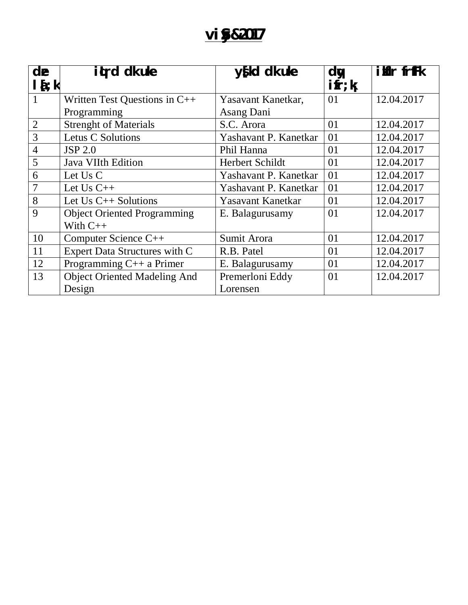### **vi** §82017

| de<br>$\mathbf{1}$ { $\mathbf{t}$ ; k | iturd dk uke                        | $y$ [kd dk uke        | d <b>v</b><br>$\mathbf{ifr};\mathbf{k}$ | ilfir frffk |
|---------------------------------------|-------------------------------------|-----------------------|-----------------------------------------|-------------|
|                                       |                                     |                       |                                         |             |
| 1                                     | Written Test Questions in C++       | Yasavant Kanetkar,    | 01                                      | 12.04.2017  |
|                                       | Programming                         | Asang Dani            |                                         |             |
| $\overline{2}$                        | <b>Strenght of Materials</b>        | S.C. Arora            | 01                                      | 12.04.2017  |
| 3                                     | <b>Letus C Solutions</b>            | Yashavant P. Kanetkar | 01                                      | 12.04.2017  |
| $\overline{4}$                        | <b>JSP 2.0</b>                      | Phil Hanna            | 01                                      | 12.04.2017  |
| 5                                     | <b>Java VIIth Edition</b>           | Herbert Schildt       | 01                                      | 12.04.2017  |
| 6                                     | Let Us C                            | Yashavant P. Kanetkar | 01                                      | 12.04.2017  |
| 7                                     | Let $Us$ $C++$                      | Yashavant P. Kanetkar | 01                                      | 12.04.2017  |
| 8                                     | Let $Us$ $C++$ Solutions            | Yasavant Kanetkar     | 01                                      | 12.04.2017  |
| 9                                     | <b>Object Oriented Programming</b>  | E. Balagurusamy       | 01                                      | 12.04.2017  |
|                                       | With $C++$                          |                       |                                         |             |
| 10                                    | Computer Science C++                | Sumit Arora           | 01                                      | 12.04.2017  |
| 11                                    | Expert Data Structures with C       | R.B. Patel            | 01                                      | 12.04.2017  |
| 12                                    | Programming C++ a Primer            | E. Balagurusamy       | 01                                      | 12.04.2017  |
| 13                                    | <b>Object Oriented Madeling And</b> | Premerloni Eddy       | 01                                      | 12.04.2017  |
|                                       | Design                              | Lorensen              |                                         |             |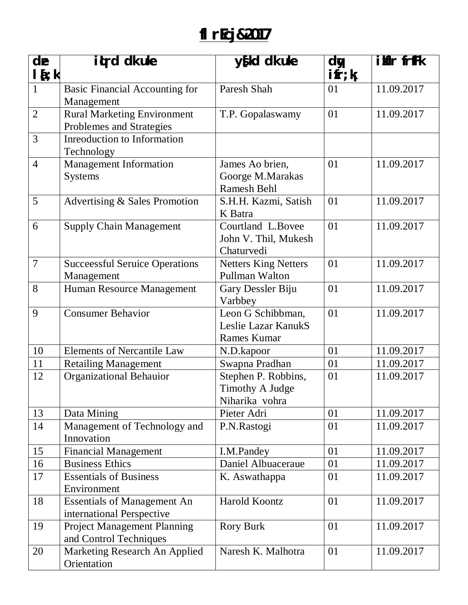## **flrEcj&2017**

| de<br>$l$ { $;$ $k$ | iturd dk uke                                                    | $y$ [kd dk uke                                                 | dy<br>$\mathbf{ifr};\mathbf{k}$ | ikir frffk |
|---------------------|-----------------------------------------------------------------|----------------------------------------------------------------|---------------------------------|------------|
| $\mathbf{1}$        | <b>Basic Financial Accounting for</b><br>Management             | Paresh Shah                                                    | 01                              | 11.09.2017 |
| $\overline{2}$      | <b>Rural Marketing Environment</b><br>Problemes and Strategies  | T.P. Gopalaswamy                                               | 01                              | 11.09.2017 |
| 3                   | Inreoduction to Information<br>Technology                       |                                                                |                                 |            |
| $\overline{4}$      | <b>Management Information</b><br><b>Systems</b>                 | James Ao brien,<br>Goorge M.Marakas<br><b>Ramesh Behl</b>      | 01                              | 11.09.2017 |
| 5                   | Advertising & Sales Promotion                                   | S.H.H. Kazmi, Satish<br>K Batra                                | 01                              | 11.09.2017 |
| 6                   | <b>Supply Chain Management</b>                                  | Courtland L.Bovee<br>John V. Thil, Mukesh<br>Chaturvedi        | 0 <sub>1</sub>                  | 11.09.2017 |
| $\overline{7}$      | <b>Successful Seruice Operations</b><br>Management              | <b>Netters King Netters</b><br>Pullman Walton                  | 01                              | 11.09.2017 |
| 8                   | Human Resource Management                                       | Gary Dessler Biju<br>Varbbey                                   | 01                              | 11.09.2017 |
| 9                   | <b>Consumer Behavior</b>                                        | Leon G Schibbman,<br>Leslie Lazar KanukS<br><b>Rames Kumar</b> | 01                              | 11.09.2017 |
| 10                  | <b>Elements of Nercantile Law</b>                               | N.D.kapoor                                                     | 01                              | 11.09.2017 |
| 11                  | <b>Retailing Management</b>                                     | Swapna Pradhan                                                 | 01                              | 11.09.2017 |
| 12                  | <b>Organizational Behauior</b>                                  | Stephen P. Robbins,<br>Timothy A Judge<br>Niharika vohra       | 01                              | 11.09.2017 |
| 13                  | Data Mining                                                     | Pieter Adri                                                    | 01                              | 11.09.2017 |
| 14                  | Management of Technology and<br>Innovation                      | P.N.Rastogi                                                    | 01                              | 11.09.2017 |
| 15                  | <b>Financial Management</b>                                     | I.M.Pandey                                                     | 01                              | 11.09.2017 |
| 16                  | <b>Business Ethics</b>                                          | Daniel Albuaceraue                                             | 01                              | 11.09.2017 |
| 17                  | <b>Essentials of Business</b><br>Environment                    | K. Aswathappa                                                  | 01                              | 11.09.2017 |
| 18                  | <b>Essentials of Management An</b><br>international Perspective | Harold Koontz                                                  | 01                              | 11.09.2017 |
| 19                  | <b>Project Management Planning</b><br>and Control Techniques    | <b>Rory Burk</b>                                               | 01                              | 11.09.2017 |
| 20                  | Marketing Research An Applied<br>Orientation                    | Naresh K. Malhotra                                             | 01                              | 11.09.2017 |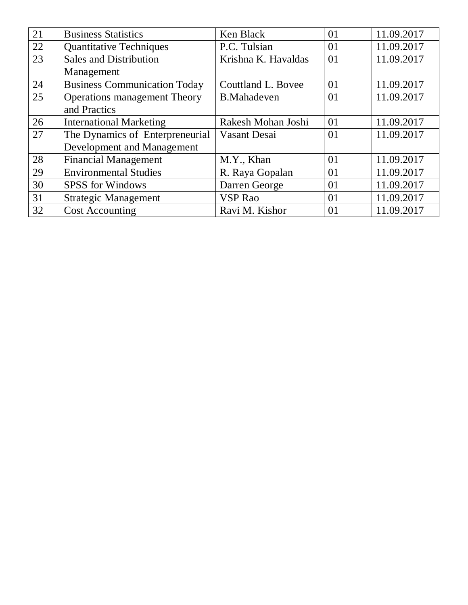| 21 | <b>Business Statistics</b>          | Ken Black           | 01 | 11.09.2017 |
|----|-------------------------------------|---------------------|----|------------|
| 22 | <b>Quantitative Techniques</b>      | P.C. Tulsian        | 01 | 11.09.2017 |
| 23 | <b>Sales and Distribution</b>       | Krishna K. Havaldas | 01 | 11.09.2017 |
|    | Management                          |                     |    |            |
| 24 | <b>Business Communication Today</b> | Couttland L. Bovee  | 01 | 11.09.2017 |
| 25 | <b>Operations management Theory</b> | <b>B.Mahadeven</b>  | 01 | 11.09.2017 |
|    | and Practics                        |                     |    |            |
| 26 | <b>International Marketing</b>      | Rakesh Mohan Joshi  | 01 | 11.09.2017 |
| 27 | The Dynamics of Enterpreneurial     | Vasant Desai        | 01 | 11.09.2017 |
|    | Development and Management          |                     |    |            |
| 28 | <b>Financial Management</b>         | M.Y., Khan          | 01 | 11.09.2017 |
| 29 | <b>Environmental Studies</b>        | R. Raya Gopalan     | 01 | 11.09.2017 |
| 30 | <b>SPSS</b> for Windows             | Darren George       | 01 | 11.09.2017 |
| 31 | <b>Strategic Management</b>         | <b>VSP</b> Rao      | 01 | 11.09.2017 |
| 32 | <b>Cost Accounting</b>              | Ravi M. Kishor      | 01 | 11.09.2017 |